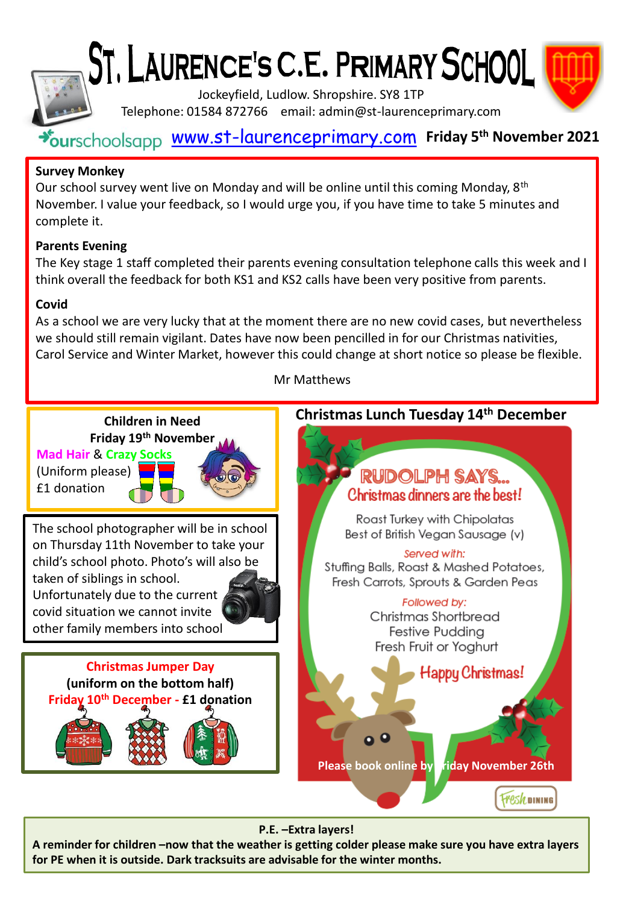

ST, LAURENCE'S C.E. PRIMARY SCHOOL



Jockeyfield, Ludlow. Shropshire. SY8 1TP Telephone: 01584 872766 email: admin@st-laurenceprimary.com

# [www.st-laurenceprimary.com](http://www.st-laurenceprimary.com/) **Friday 5th November 2021**

## **Survey Monkey**

Our school survey went live on Monday and will be online until this coming Monday, 8<sup>th</sup> November. I value your feedback, so I would urge you, if you have time to take 5 minutes and complete it.

## **Parents Evening**

The Key stage 1 staff completed their parents evening consultation telephone calls this week and I think overall the feedback for both KS1 and KS2 calls have been very positive from parents.

#### **Covid**

As a school we are very lucky that at the moment there are no new covid cases, but nevertheless we should still remain vigilant. Dates have now been pencilled in for our Christmas nativities, Carol Service and Winter Market, however this could change at short notice so please be flexible.

Mr Matthews



#### **P.E. –Extra layers!**

**A reminder for children –now that the weather is getting colder please make sure you have extra layers for PE when it is outside. Dark tracksuits are advisable for the winter months.**